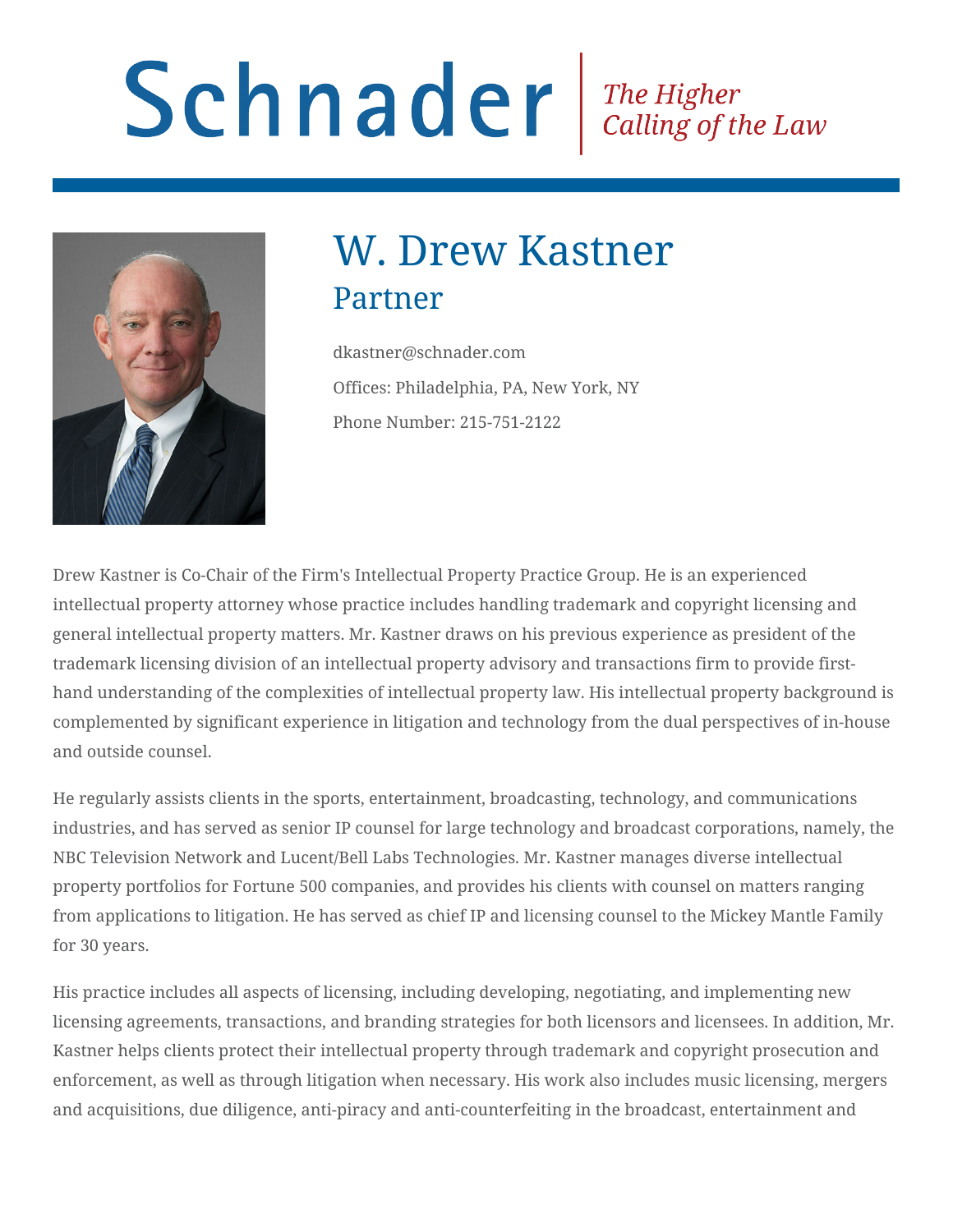# Schnader Fine Higher Calling of the Law



## W. Drew Kastner Partner

dkastner@schnader.com Offices: Philadelphia, PA, New York, NY Phone Number: 215-751-2122

Drew Kastner is Co-Chair of the Firm's Intellectual Property Practice Group. He is an experienced intellectual property attorney whose practice includes handling trademark and copyright licensing and general intellectual property matters. Mr. Kastner draws on his previous experience as president of the trademark licensing division of an intellectual property advisory and transactions firm to provide firsthand understanding of the complexities of intellectual property law. His intellectual property background is complemented by significant experience in litigation and technology from the dual perspectives of in-house and outside counsel.

He regularly assists clients in the sports, entertainment, broadcasting, technology, and communications industries, and has served as senior IP counsel for large technology and broadcast corporations, namely, the NBC Television Network and Lucent/Bell Labs Technologies. Mr. Kastner manages diverse intellectual property portfolios for Fortune 500 companies, and provides his clients with counsel on matters ranging from applications to litigation. He has served as chief IP and licensing counsel to the Mickey Mantle Family for 30 years.

His practice includes all aspects of licensing, including developing, negotiating, and implementing new licensing agreements, transactions, and branding strategies for both licensors and licensees. In addition, Mr. Kastner helps clients protect their intellectual property through trademark and copyright prosecution and enforcement, as well as through litigation when necessary. His work also includes music licensing, mergers and acquisitions, due diligence, anti-piracy and anti-counterfeiting in the broadcast, entertainment and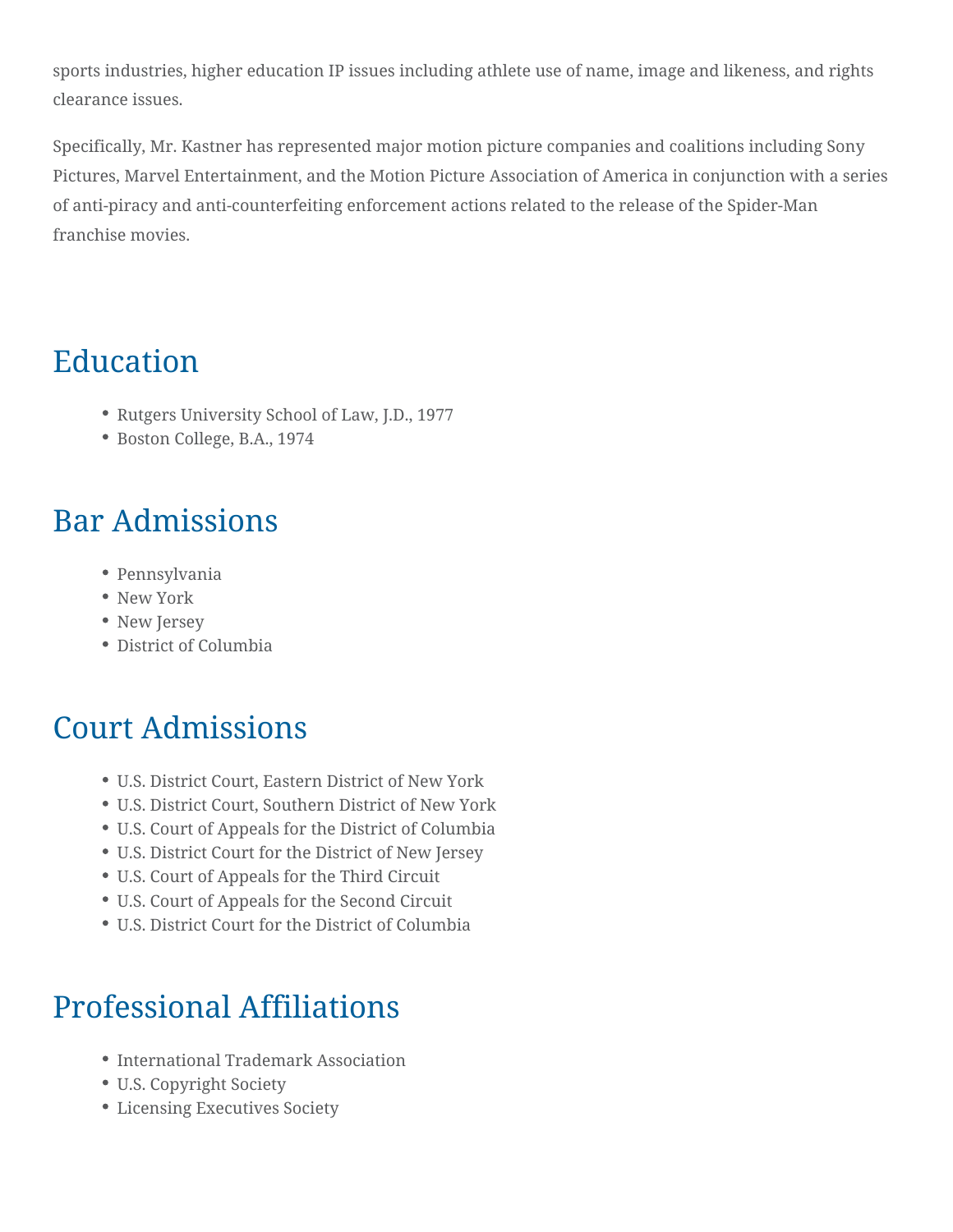sports industries, higher education IP issues including athlete use of name, image and likeness, and rights clearance issues.

Specifically, Mr. Kastner has represented major motion picture companies and coalitions including Sony Pictures, Marvel Entertainment, and the Motion Picture Association of America in conjunction with a series of anti-piracy and anti-counterfeiting enforcement actions related to the release of the Spider-Man franchise movies.

## Education

- Rutgers University School of Law, J.D., 1977
- Boston College, B.A., 1974

## Bar Admissions

- Pennsylvania
- New York
- New Jersey
- District of Columbia

### Court Admissions

- U.S. District Court, Eastern District of New York
- U.S. District Court, Southern District of New York
- U.S. Court of Appeals for the District of Columbia
- U.S. District Court for the District of New Jersey
- U.S. Court of Appeals for the Third Circuit
- U.S. Court of Appeals for the Second Circuit
- U.S. District Court for the District of Columbia

### Professional Affiliations

- International Trademark Association
- U.S. Copyright Society
- Licensing Executives Society